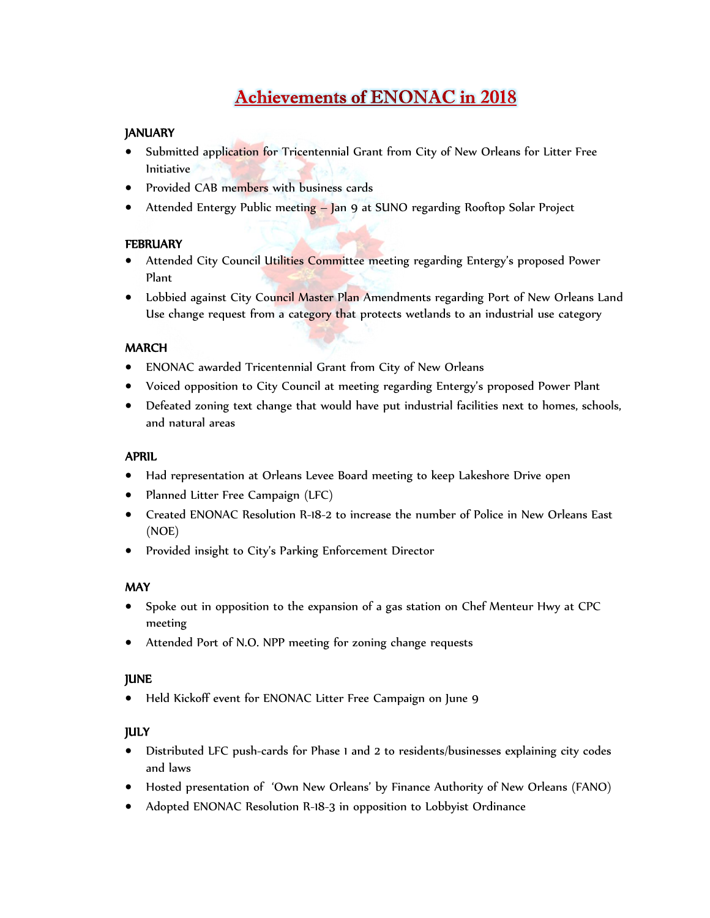# **Achievements of ENONAC in 2018**

## **JANUARY**

- **•** Submitted application for Tricentennial Grant from City of New Orleans for Litter Free Initiative
- Provided CAB members with business cards
- Attended Entergy Public meeting Jan 9 at SUNO regarding Rooftop Solar Project

## **FEBRUARY**

- Attended City Council Utilities Committee meeting regarding Entergy's proposed Power Plant
- Lobbied against City Council Master Plan Amendments regarding Port of New Orleans Land Use change request from a category that protects wetlands to an industrial use category

## MARCH

- ENONAC awarded Tricentennial Grant from City of New Orleans
- Voiced opposition to City Council at meeting regarding Entergy's proposed Power Plant
- Defeated zoning text change that would have put industrial facilities next to homes, schools, and natural areas

#### APRIL

- Had representation at Orleans Levee Board meeting to keep Lakeshore Drive open
- Planned Litter Free Campaign (LFC)
- Created ENONAC Resolution R-18-2 to increase the number of Police in New Orleans East (NOE)
- Provided insight to City's Parking Enforcement Director

#### MAY

- Spoke out in opposition to the expansion of a gas station on Chef Menteur Hwy at CPC meeting
- Attended Port of N.O. NPP meeting for zoning change requests

#### **IUNE**

Held Kickoff event for ENONAC Litter Free Campaign on June 9

#### JULY

- Distributed LFC push-cards for Phase 1 and 2 to residents/businesses explaining city codes and laws
- Hosted presentation of 'Own New Orleans' by Finance Authority of New Orleans (FANO)
- Adopted ENONAC Resolution R-18-3 in opposition to Lobbyist Ordinance